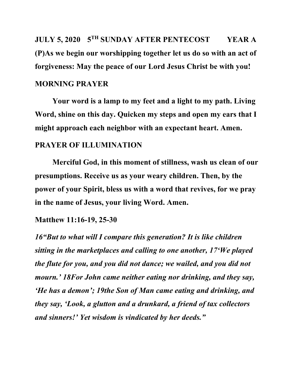**JULY 5, 2020 5TH SUNDAY AFTER PENTECOST YEAR A (P)As we begin our worshipping together let us do so with an act of forgiveness: May the peace of our Lord Jesus Christ be with you!**

# **MORNING PRAYER**

**Your word is a lamp to my feet and a light to my path. Living Word, shine on this day. Quicken my steps and open my ears that I might approach each neighbor with an expectant heart. Amen.**

## **PRAYER OF ILLUMINATION**

**Merciful God, in this moment of stillness, wash us clean of our presumptions. Receive us as your weary children. Then, by the power of your Spirit, bless us with a word that revives, for we pray in the name of Jesus, your living Word. Amen.**

#### **Matthew 11:16-19, 25-30**

*16"But to what will I compare this generation? It is like children sitting in the marketplaces and calling to one another, 17'We played the flute for you, and you did not dance; we wailed, and you did not mourn.' 18For John came neither eating nor drinking, and they say, 'He has a demon'; 19the Son of Man came eating and drinking, and they say, 'Look, a glutton and a drunkard, a friend of tax collectors and sinners!' Yet wisdom is vindicated by her deeds."*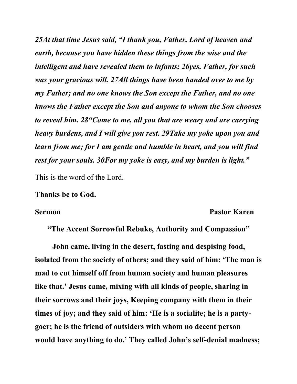*25At that time Jesus said, "I thank you, Father, Lord of heaven and earth, because you have hidden these things from the wise and the intelligent and have revealed them to infants; 26yes, Father, for such was your gracious will. 27All things have been handed over to me by my Father; and no one knows the Son except the Father, and no one knows the Father except the Son and anyone to whom the Son chooses to reveal him. 28"Come to me, all you that are weary and are carrying heavy burdens, and I will give you rest. 29Take my yoke upon you and learn from me; for I am gentle and humble in heart, and you will find rest for your souls. 30For my yoke is easy, and my burden is light."*

This is the word of the Lord.

#### **Thanks be to God.**

#### **Sermon Pastor Karen**

**"The Accent Sorrowful Rebuke, Authority and Compassion"**

**John came, living in the desert, fasting and despising food, isolated from the society of others; and they said of him: 'The man is mad to cut himself off from human society and human pleasures like that.' Jesus came, mixing with all kinds of people, sharing in their sorrows and their joys, Keeping company with them in their times of joy; and they said of him: 'He is a socialite; he is a partygoer; he is the friend of outsiders with whom no decent person would have anything to do.' They called John's self-denial madness;**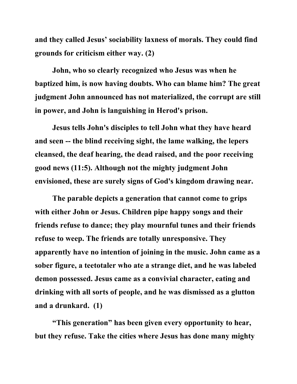**and they called Jesus' sociability laxness of morals. They could find grounds for criticism either way. (2)**

**John, who so clearly recognized who Jesus was when he baptized him, is now having doubts. Who can blame him? The great judgment John announced has not materialized, the corrupt are still in power, and John is languishing in Herod's prison.**

**Jesus tells John's disciples to tell John what they have heard and seen -- the blind receiving sight, the lame walking, the lepers cleansed, the deaf hearing, the dead raised, and the poor receiving good news (11:5). Although not the mighty judgment John envisioned, these are surely signs of God's kingdom drawing near.**

**The parable depicts a generation that cannot come to grips with either John or Jesus. Children pipe happy songs and their friends refuse to dance; they play mournful tunes and their friends refuse to weep. The friends are totally unresponsive. They apparently have no intention of joining in the music. John came as a sober figure, a teetotaler who ate a strange diet, and he was labeled demon possessed. Jesus came as a convivial character, eating and drinking with all sorts of people, and he was dismissed as a glutton and a drunkard. (1)**

**"This generation" has been given every opportunity to hear, but they refuse. Take the cities where Jesus has done many mighty**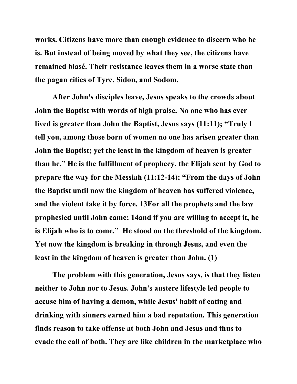**works. Citizens have more than enough evidence to discern who he is. But instead of being moved by what they see, the citizens have remained blasé. Their resistance leaves them in a worse state than the pagan cities of Tyre, Sidon, and Sodom.**

**After John's disciples leave, Jesus speaks to the crowds about John the Baptist with words of high praise. No one who has ever lived is greater than John the Baptist, Jesus says (11:11); "Truly I tell you, among those born of women no one has arisen greater than John the Baptist; yet the least in the kingdom of heaven is greater than he." He is the fulfillment of prophecy, the Elijah sent by God to prepare the way for the Messiah (11:12-14); "From the days of John the Baptist until now the kingdom of heaven has suffered violence, and the violent take it by force. 13For all the prophets and the law prophesied until John came; 14and if you are willing to accept it, he is Elijah who is to come." He stood on the threshold of the kingdom. Yet now the kingdom is breaking in through Jesus, and even the least in the kingdom of heaven is greater than John. (1)**

**The problem with this generation, Jesus says, is that they listen neither to John nor to Jesus. John's austere lifestyle led people to accuse him of having a demon, while Jesus' habit of eating and drinking with sinners earned him a bad reputation. This generation finds reason to take offense at both John and Jesus and thus to evade the call of both. They are like children in the marketplace who**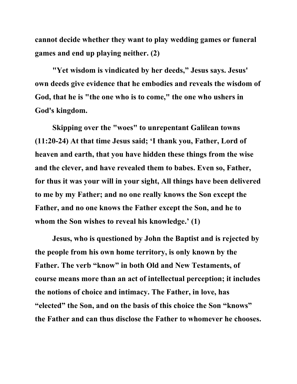**cannot decide whether they want to play wedding games or funeral games and end up playing neither. (2)**

**"Yet wisdom is vindicated by her deeds," Jesus says. Jesus' own deeds give evidence that he embodies and reveals the wisdom of God, that he is "the one who is to come," the one who ushers in God's kingdom.**

**Skipping over the "woes" to unrepentant Galilean towns (11:20-24) At that time Jesus said; 'I thank you, Father, Lord of heaven and earth, that you have hidden these things from the wise and the clever, and have revealed them to babes. Even so, Father, for thus it was your will in your sight, All things have been delivered to me by my Father; and no one really knows the Son except the Father, and no one knows the Father except the Son, and he to whom the Son wishes to reveal his knowledge.' (1)**

**Jesus, who is questioned by John the Baptist and is rejected by the people from his own home territory, is only known by the Father. The verb "know" in both Old and New Testaments, of course means more than an act of intellectual perception; it includes the notions of choice and intimacy. The Father, in love, has "elected" the Son, and on the basis of this choice the Son "knows" the Father and can thus disclose the Father to whomever he chooses.**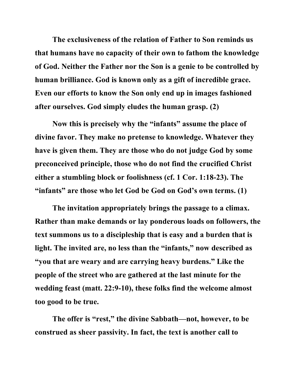**The exclusiveness of the relation of Father to Son reminds us that humans have no capacity of their own to fathom the knowledge of God. Neither the Father nor the Son is a genie to be controlled by human brilliance. God is known only as a gift of incredible grace. Even our efforts to know the Son only end up in images fashioned after ourselves. God simply eludes the human grasp. (2)**

**Now this is precisely why the "infants" assume the place of divine favor. They make no pretense to knowledge. Whatever they have is given them. They are those who do not judge God by some preconceived principle, those who do not find the crucified Christ either a stumbling block or foolishness (cf. 1 Cor. 1:18-23). The "infants" are those who let God be God on God's own terms. (1)**

**The invitation appropriately brings the passage to a climax. Rather than make demands or lay ponderous loads on followers, the text summons us to a discipleship that is easy and a burden that is light. The invited are, no less than the "infants," now described as "you that are weary and are carrying heavy burdens." Like the people of the street who are gathered at the last minute for the wedding feast (matt. 22:9-10), these folks find the welcome almost too good to be true.** 

**The offer is "rest," the divine Sabbath—not, however, to be construed as sheer passivity. In fact, the text is another call to**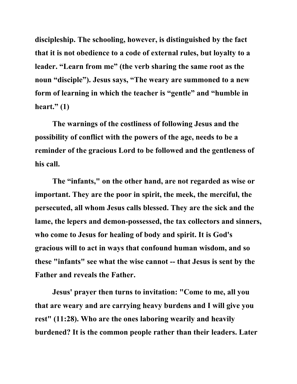**discipleship. The schooling, however, is distinguished by the fact that it is not obedience to a code of external rules, but loyalty to a leader. "Learn from me" (the verb sharing the same root as the noun "disciple"). Jesus says, "The weary are summoned to a new form of learning in which the teacher is "gentle" and "humble in heart." (1)**

**The warnings of the costliness of following Jesus and the possibility of conflict with the powers of the age, needs to be a reminder of the gracious Lord to be followed and the gentleness of his call.**

**The "infants," on the other hand, are not regarded as wise or important. They are the poor in spirit, the meek, the merciful, the persecuted, all whom Jesus calls blessed. They are the sick and the lame, the lepers and demon-possessed, the tax collectors and sinners, who come to Jesus for healing of body and spirit. It is God's gracious will to act in ways that confound human wisdom, and so these "infants" see what the wise cannot -- that Jesus is sent by the Father and reveals the Father.**

**Jesus' prayer then turns to invitation: "Come to me, all you that are weary and are carrying heavy burdens and I will give you rest" (11:28). Who are the ones laboring wearily and heavily burdened? It is the common people rather than their leaders. Later**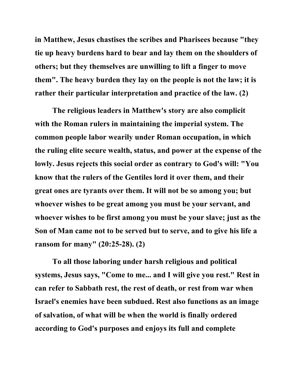**in Matthew, Jesus chastises the scribes and Pharisees because "they tie up heavy burdens hard to bear and lay them on the shoulders of others; but they themselves are unwilling to lift a finger to move them". The heavy burden they lay on the people is not the law; it is rather their particular interpretation and practice of the law. (2)**

**The religious leaders in Matthew's story are also complicit with the Roman rulers in maintaining the imperial system. The common people labor wearily under Roman occupation, in which the ruling elite secure wealth, status, and power at the expense of the lowly. Jesus rejects this social order as contrary to God's will: "You know that the rulers of the Gentiles lord it over them, and their great ones are tyrants over them. It will not be so among you; but whoever wishes to be great among you must be your servant, and whoever wishes to be first among you must be your slave; just as the Son of Man came not to be served but to serve, and to give his life a ransom for many" (20:25-28). (2)**

**To all those laboring under harsh religious and political systems, Jesus says, "Come to me... and I will give you rest." Rest in can refer to Sabbath rest, the rest of death, or rest from war when Israel's enemies have been subdued. Rest also functions as an image of salvation, of what will be when the world is finally ordered according to God's purposes and enjoys its full and complete**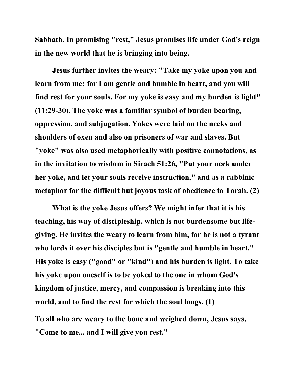**Sabbath. In promising "rest," Jesus promises life under God's reign in the new world that he is bringing into being.**

**Jesus further invites the weary: "Take my yoke upon you and learn from me; for I am gentle and humble in heart, and you will find rest for your souls. For my yoke is easy and my burden is light" (11:29-30). The yoke was a familiar symbol of burden bearing, oppression, and subjugation. Yokes were laid on the necks and shoulders of oxen and also on prisoners of war and slaves. But "yoke" was also used metaphorically with positive connotations, as in the invitation to wisdom in Sirach 51:26, "Put your neck under her yoke, and let your souls receive instruction," and as a rabbinic metaphor for the difficult but joyous task of obedience to Torah. (2)**

**What is the yoke Jesus offers? We might infer that it is his teaching, his way of discipleship, which is not burdensome but lifegiving. He invites the weary to learn from him, for he is not a tyrant who lords it over his disciples but is "gentle and humble in heart." His yoke is easy ("good" or "kind") and his burden is light. To take his yoke upon oneself is to be yoked to the one in whom God's kingdom of justice, mercy, and compassion is breaking into this world, and to find the rest for which the soul longs. (1)**

**To all who are weary to the bone and weighed down, Jesus says, "Come to me... and I will give you rest."**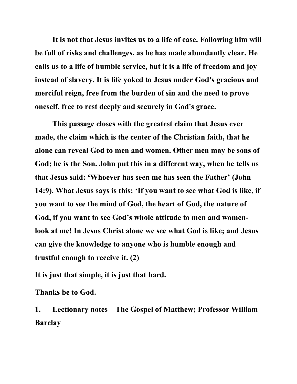**It is not that Jesus invites us to a life of ease. Following him will be full of risks and challenges, as he has made abundantly clear. He calls us to a life of humble service, but it is a life of freedom and joy instead of slavery. It is life yoked to Jesus under God's gracious and merciful reign, free from the burden of sin and the need to prove oneself, free to rest deeply and securely in God's grace.**

**This passage closes with the greatest claim that Jesus ever made, the claim which is the center of the Christian faith, that he alone can reveal God to men and women. Other men may be sons of God; he is the Son. John put this in a different way, when he tells us that Jesus said: 'Whoever has seen me has seen the Father' (John 14:9). What Jesus says is this: 'If you want to see what God is like, if you want to see the mind of God, the heart of God, the nature of God, if you want to see God's whole attitude to men and womenlook at me! In Jesus Christ alone we see what God is like; and Jesus can give the knowledge to anyone who is humble enough and trustful enough to receive it. (2)**

**It is just that simple, it is just that hard.**

**Thanks be to God.**

**1. Lectionary notes – The Gospel of Matthew; Professor William Barclay**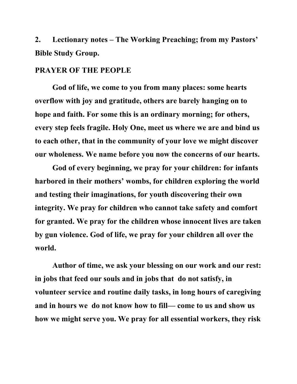**2. Lectionary notes – The Working Preaching; from my Pastors' Bible Study Group.**

### **PRAYER OF THE PEOPLE**

**God of life, we come to you from many places: some hearts overflow with joy and gratitude, others are barely hanging on to hope and faith. For some this is an ordinary morning; for others, every step feels fragile. Holy One, meet us where we are and bind us to each other, that in the community of your love we might discover our wholeness. We name before you now the concerns of our hearts.** 

**God of every beginning, we pray for your children: for infants harbored in their mothers' wombs, for children exploring the world and testing their imaginations, for youth discovering their own integrity. We pray for children who cannot take safety and comfort for granted. We pray for the children whose innocent lives are taken by gun violence. God of life, we pray for your children all over the world.** 

**Author of time, we ask your blessing on our work and our rest: in jobs that feed our souls and in jobs that do not satisfy, in volunteer service and routine daily tasks, in long hours of caregiving and in hours we do not know how to fill— come to us and show us how we might serve you. We pray for all essential workers, they risk**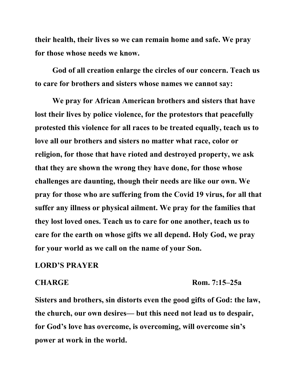**their health, their lives so we can remain home and safe. We pray for those whose needs we know.** 

**God of all creation enlarge the circles of our concern. Teach us to care for brothers and sisters whose names we cannot say:**

**We pray for African American brothers and sisters that have lost their lives by police violence, for the protestors that peacefully protested this violence for all races to be treated equally, teach us to love all our brothers and sisters no matter what race, color or religion, for those that have rioted and destroyed property, we ask that they are shown the wrong they have done, for those whose challenges are daunting, though their needs are like our own. We pray for those who are suffering from the Covid 19 virus, for all that suffer any illness or physical ailment. We pray for the families that they lost loved ones. Teach us to care for one another, teach us to care for the earth on whose gifts we all depend. Holy God, we pray for your world as we call on the name of your Son.** 

### **LORD'S PRAYER**

#### **CHARGE Rom. 7:15–25a**

**Sisters and brothers, sin distorts even the good gifts of God: the law, the church, our own desires— but this need not lead us to despair, for God's love has overcome, is overcoming, will overcome sin's power at work in the world.**